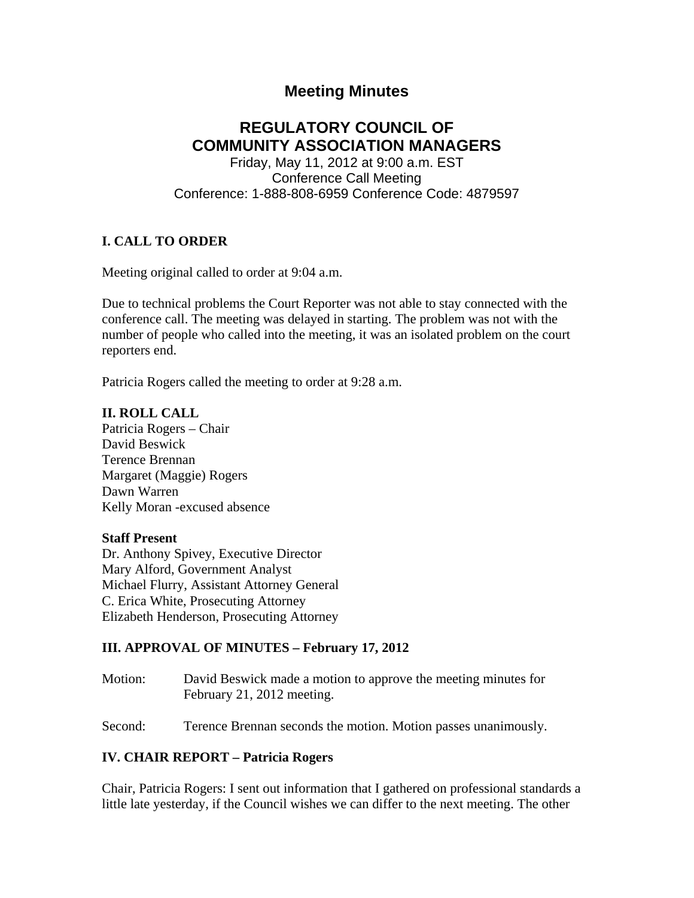# **Meeting Minutes**

# **REGULATORY COUNCIL OF COMMUNITY ASSOCIATION MANAGERS**

Friday, May 11, 2012 at 9:00 a.m. EST Conference Call Meeting Conference: 1-888-808-6959 Conference Code: 4879597

# **I. CALL TO ORDER**

Meeting original called to order at 9:04 a.m.

Due to technical problems the Court Reporter was not able to stay connected with the conference call. The meeting was delayed in starting. The problem was not with the number of people who called into the meeting, it was an isolated problem on the court reporters end.

Patricia Rogers called the meeting to order at 9:28 a.m.

**II. ROLL CALL**  Patricia Rogers – Chair David Beswick Terence Brennan Margaret (Maggie) Rogers Dawn Warren Kelly Moran -excused absence

#### **Staff Present**

Dr. Anthony Spivey, Executive Director Mary Alford, Government Analyst Michael Flurry, Assistant Attorney General C. Erica White, Prosecuting Attorney Elizabeth Henderson, Prosecuting Attorney

#### **III. APPROVAL OF MINUTES – February 17, 2012**

Motion: David Beswick made a motion to approve the meeting minutes for February 21, 2012 meeting.

Second: Terence Brennan seconds the motion. Motion passes unanimously.

#### **IV. CHAIR REPORT – Patricia Rogers**

Chair, Patricia Rogers: I sent out information that I gathered on professional standards a little late yesterday, if the Council wishes we can differ to the next meeting. The other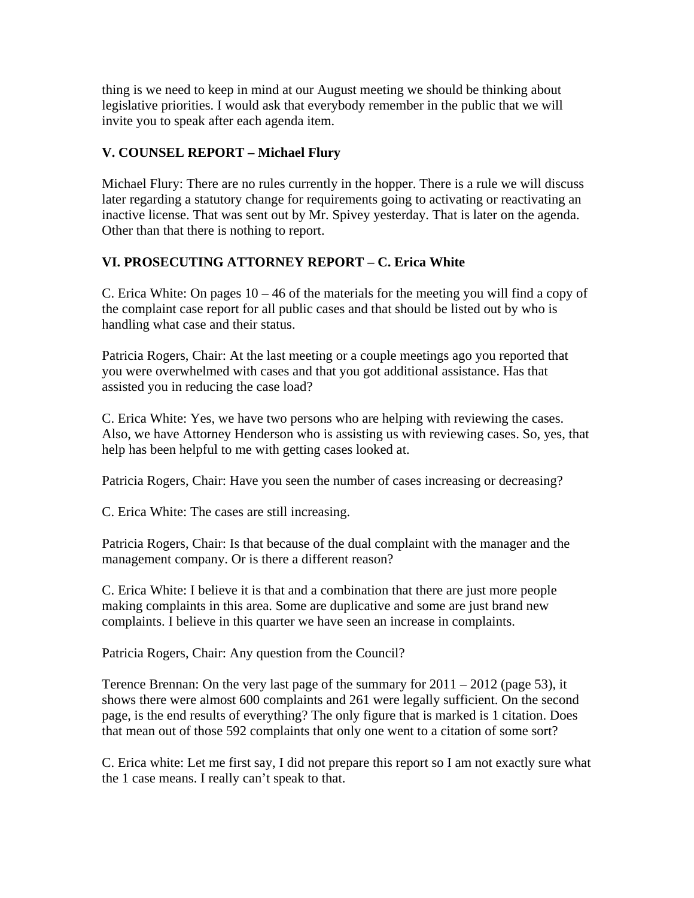thing is we need to keep in mind at our August meeting we should be thinking about legislative priorities. I would ask that everybody remember in the public that we will invite you to speak after each agenda item.

# **V. COUNSEL REPORT – Michael Flury**

Michael Flury: There are no rules currently in the hopper. There is a rule we will discuss later regarding a statutory change for requirements going to activating or reactivating an inactive license. That was sent out by Mr. Spivey yesterday. That is later on the agenda. Other than that there is nothing to report.

# **VI. PROSECUTING ATTORNEY REPORT – C. Erica White**

C. Erica White: On pages 10 – 46 of the materials for the meeting you will find a copy of the complaint case report for all public cases and that should be listed out by who is handling what case and their status.

Patricia Rogers, Chair: At the last meeting or a couple meetings ago you reported that you were overwhelmed with cases and that you got additional assistance. Has that assisted you in reducing the case load?

C. Erica White: Yes, we have two persons who are helping with reviewing the cases. Also, we have Attorney Henderson who is assisting us with reviewing cases. So, yes, that help has been helpful to me with getting cases looked at.

Patricia Rogers, Chair: Have you seen the number of cases increasing or decreasing?

C. Erica White: The cases are still increasing.

Patricia Rogers, Chair: Is that because of the dual complaint with the manager and the management company. Or is there a different reason?

C. Erica White: I believe it is that and a combination that there are just more people making complaints in this area. Some are duplicative and some are just brand new complaints. I believe in this quarter we have seen an increase in complaints.

Patricia Rogers, Chair: Any question from the Council?

Terence Brennan: On the very last page of the summary for  $2011 - 2012$  (page 53), it shows there were almost 600 complaints and 261 were legally sufficient. On the second page, is the end results of everything? The only figure that is marked is 1 citation. Does that mean out of those 592 complaints that only one went to a citation of some sort?

C. Erica white: Let me first say, I did not prepare this report so I am not exactly sure what the 1 case means. I really can't speak to that.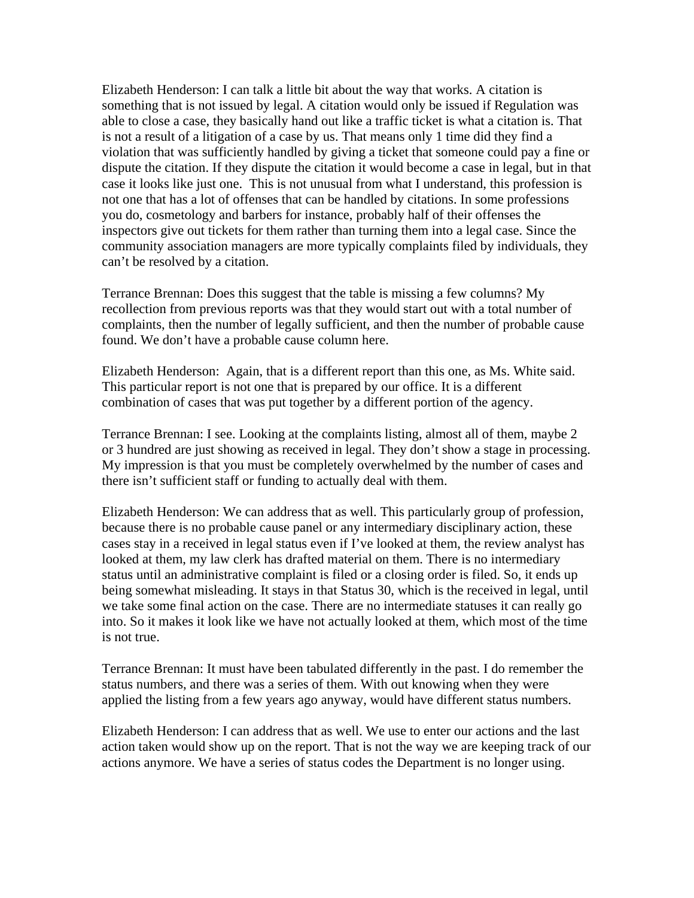Elizabeth Henderson: I can talk a little bit about the way that works. A citation is something that is not issued by legal. A citation would only be issued if Regulation was able to close a case, they basically hand out like a traffic ticket is what a citation is. That is not a result of a litigation of a case by us. That means only 1 time did they find a violation that was sufficiently handled by giving a ticket that someone could pay a fine or dispute the citation. If they dispute the citation it would become a case in legal, but in that case it looks like just one. This is not unusual from what I understand, this profession is not one that has a lot of offenses that can be handled by citations. In some professions you do, cosmetology and barbers for instance, probably half of their offenses the inspectors give out tickets for them rather than turning them into a legal case. Since the community association managers are more typically complaints filed by individuals, they can't be resolved by a citation.

Terrance Brennan: Does this suggest that the table is missing a few columns? My recollection from previous reports was that they would start out with a total number of complaints, then the number of legally sufficient, and then the number of probable cause found. We don't have a probable cause column here.

Elizabeth Henderson: Again, that is a different report than this one, as Ms. White said. This particular report is not one that is prepared by our office. It is a different combination of cases that was put together by a different portion of the agency.

Terrance Brennan: I see. Looking at the complaints listing, almost all of them, maybe 2 or 3 hundred are just showing as received in legal. They don't show a stage in processing. My impression is that you must be completely overwhelmed by the number of cases and there isn't sufficient staff or funding to actually deal with them.

Elizabeth Henderson: We can address that as well. This particularly group of profession, because there is no probable cause panel or any intermediary disciplinary action, these cases stay in a received in legal status even if I've looked at them, the review analyst has looked at them, my law clerk has drafted material on them. There is no intermediary status until an administrative complaint is filed or a closing order is filed. So, it ends up being somewhat misleading. It stays in that Status 30, which is the received in legal, until we take some final action on the case. There are no intermediate statuses it can really go into. So it makes it look like we have not actually looked at them, which most of the time is not true.

Terrance Brennan: It must have been tabulated differently in the past. I do remember the status numbers, and there was a series of them. With out knowing when they were applied the listing from a few years ago anyway, would have different status numbers.

Elizabeth Henderson: I can address that as well. We use to enter our actions and the last action taken would show up on the report. That is not the way we are keeping track of our actions anymore. We have a series of status codes the Department is no longer using.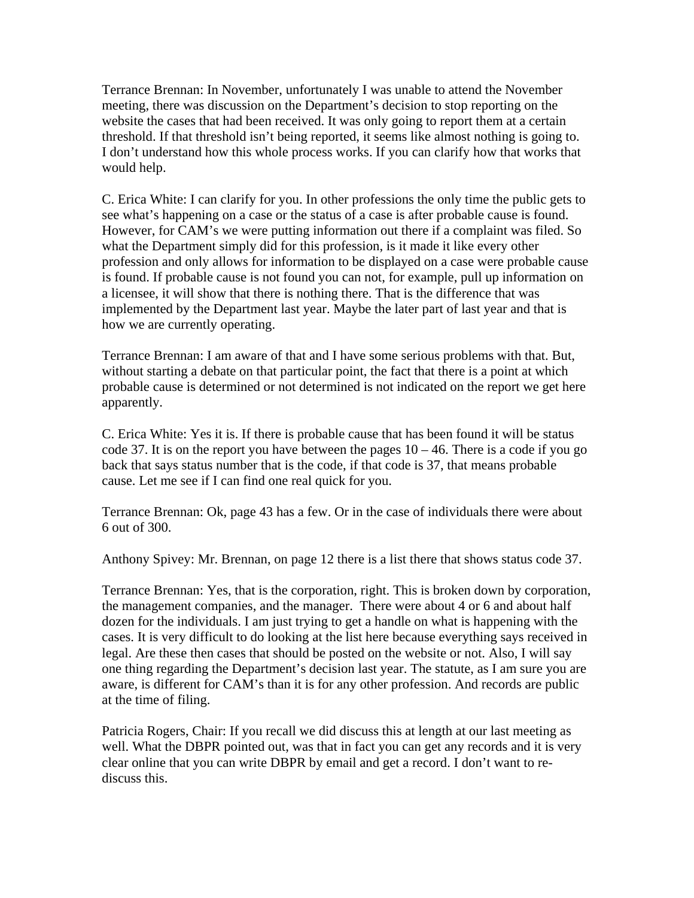Terrance Brennan: In November, unfortunately I was unable to attend the November meeting, there was discussion on the Department's decision to stop reporting on the website the cases that had been received. It was only going to report them at a certain threshold. If that threshold isn't being reported, it seems like almost nothing is going to. I don't understand how this whole process works. If you can clarify how that works that would help.

C. Erica White: I can clarify for you. In other professions the only time the public gets to see what's happening on a case or the status of a case is after probable cause is found. However, for CAM's we were putting information out there if a complaint was filed. So what the Department simply did for this profession, is it made it like every other profession and only allows for information to be displayed on a case were probable cause is found. If probable cause is not found you can not, for example, pull up information on a licensee, it will show that there is nothing there. That is the difference that was implemented by the Department last year. Maybe the later part of last year and that is how we are currently operating.

Terrance Brennan: I am aware of that and I have some serious problems with that. But, without starting a debate on that particular point, the fact that there is a point at which probable cause is determined or not determined is not indicated on the report we get here apparently.

C. Erica White: Yes it is. If there is probable cause that has been found it will be status code 37. It is on the report you have between the pages  $10 - 46$ . There is a code if you go back that says status number that is the code, if that code is 37, that means probable cause. Let me see if I can find one real quick for you.

Terrance Brennan: Ok, page 43 has a few. Or in the case of individuals there were about 6 out of 300.

Anthony Spivey: Mr. Brennan, on page 12 there is a list there that shows status code 37.

Terrance Brennan: Yes, that is the corporation, right. This is broken down by corporation, the management companies, and the manager. There were about 4 or 6 and about half dozen for the individuals. I am just trying to get a handle on what is happening with the cases. It is very difficult to do looking at the list here because everything says received in legal. Are these then cases that should be posted on the website or not. Also, I will say one thing regarding the Department's decision last year. The statute, as I am sure you are aware, is different for CAM's than it is for any other profession. And records are public at the time of filing.

Patricia Rogers, Chair: If you recall we did discuss this at length at our last meeting as well. What the DBPR pointed out, was that in fact you can get any records and it is very clear online that you can write DBPR by email and get a record. I don't want to rediscuss this.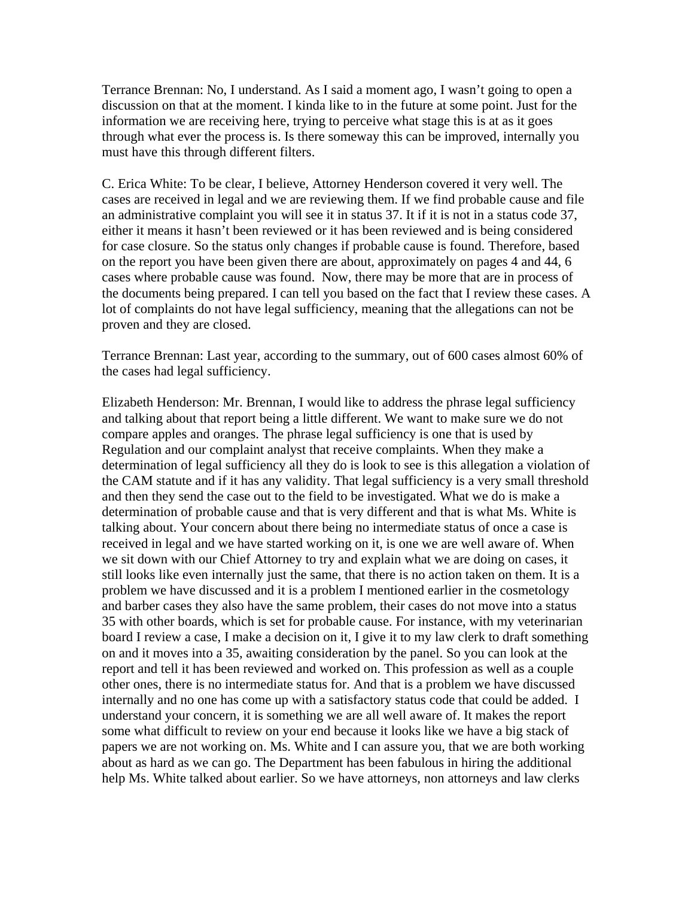Terrance Brennan: No, I understand. As I said a moment ago, I wasn't going to open a discussion on that at the moment. I kinda like to in the future at some point. Just for the information we are receiving here, trying to perceive what stage this is at as it goes through what ever the process is. Is there someway this can be improved, internally you must have this through different filters.

C. Erica White: To be clear, I believe, Attorney Henderson covered it very well. The cases are received in legal and we are reviewing them. If we find probable cause and file an administrative complaint you will see it in status 37. It if it is not in a status code 37, either it means it hasn't been reviewed or it has been reviewed and is being considered for case closure. So the status only changes if probable cause is found. Therefore, based on the report you have been given there are about, approximately on pages 4 and 44, 6 cases where probable cause was found. Now, there may be more that are in process of the documents being prepared. I can tell you based on the fact that I review these cases. A lot of complaints do not have legal sufficiency, meaning that the allegations can not be proven and they are closed.

Terrance Brennan: Last year, according to the summary, out of 600 cases almost 60% of the cases had legal sufficiency.

Elizabeth Henderson: Mr. Brennan, I would like to address the phrase legal sufficiency and talking about that report being a little different. We want to make sure we do not compare apples and oranges. The phrase legal sufficiency is one that is used by Regulation and our complaint analyst that receive complaints. When they make a determination of legal sufficiency all they do is look to see is this allegation a violation of the CAM statute and if it has any validity. That legal sufficiency is a very small threshold and then they send the case out to the field to be investigated. What we do is make a determination of probable cause and that is very different and that is what Ms. White is talking about. Your concern about there being no intermediate status of once a case is received in legal and we have started working on it, is one we are well aware of. When we sit down with our Chief Attorney to try and explain what we are doing on cases, it still looks like even internally just the same, that there is no action taken on them. It is a problem we have discussed and it is a problem I mentioned earlier in the cosmetology and barber cases they also have the same problem, their cases do not move into a status 35 with other boards, which is set for probable cause. For instance, with my veterinarian board I review a case, I make a decision on it, I give it to my law clerk to draft something on and it moves into a 35, awaiting consideration by the panel. So you can look at the report and tell it has been reviewed and worked on. This profession as well as a couple other ones, there is no intermediate status for. And that is a problem we have discussed internally and no one has come up with a satisfactory status code that could be added. I understand your concern, it is something we are all well aware of. It makes the report some what difficult to review on your end because it looks like we have a big stack of papers we are not working on. Ms. White and I can assure you, that we are both working about as hard as we can go. The Department has been fabulous in hiring the additional help Ms. White talked about earlier. So we have attorneys, non attorneys and law clerks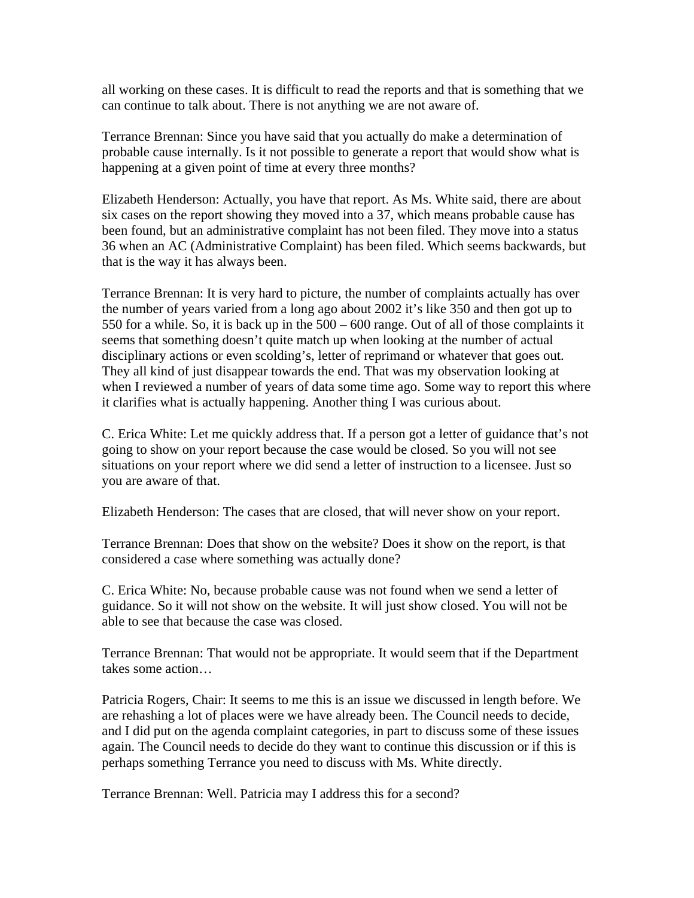all working on these cases. It is difficult to read the reports and that is something that we can continue to talk about. There is not anything we are not aware of.

Terrance Brennan: Since you have said that you actually do make a determination of probable cause internally. Is it not possible to generate a report that would show what is happening at a given point of time at every three months?

Elizabeth Henderson: Actually, you have that report. As Ms. White said, there are about six cases on the report showing they moved into a 37, which means probable cause has been found, but an administrative complaint has not been filed. They move into a status 36 when an AC (Administrative Complaint) has been filed. Which seems backwards, but that is the way it has always been.

Terrance Brennan: It is very hard to picture, the number of complaints actually has over the number of years varied from a long ago about 2002 it's like 350 and then got up to 550 for a while. So, it is back up in the 500 – 600 range. Out of all of those complaints it seems that something doesn't quite match up when looking at the number of actual disciplinary actions or even scolding's, letter of reprimand or whatever that goes out. They all kind of just disappear towards the end. That was my observation looking at when I reviewed a number of years of data some time ago. Some way to report this where it clarifies what is actually happening. Another thing I was curious about.

C. Erica White: Let me quickly address that. If a person got a letter of guidance that's not going to show on your report because the case would be closed. So you will not see situations on your report where we did send a letter of instruction to a licensee. Just so you are aware of that.

Elizabeth Henderson: The cases that are closed, that will never show on your report.

Terrance Brennan: Does that show on the website? Does it show on the report, is that considered a case where something was actually done?

C. Erica White: No, because probable cause was not found when we send a letter of guidance. So it will not show on the website. It will just show closed. You will not be able to see that because the case was closed.

Terrance Brennan: That would not be appropriate. It would seem that if the Department takes some action…

Patricia Rogers, Chair: It seems to me this is an issue we discussed in length before. We are rehashing a lot of places were we have already been. The Council needs to decide, and I did put on the agenda complaint categories, in part to discuss some of these issues again. The Council needs to decide do they want to continue this discussion or if this is perhaps something Terrance you need to discuss with Ms. White directly.

Terrance Brennan: Well. Patricia may I address this for a second?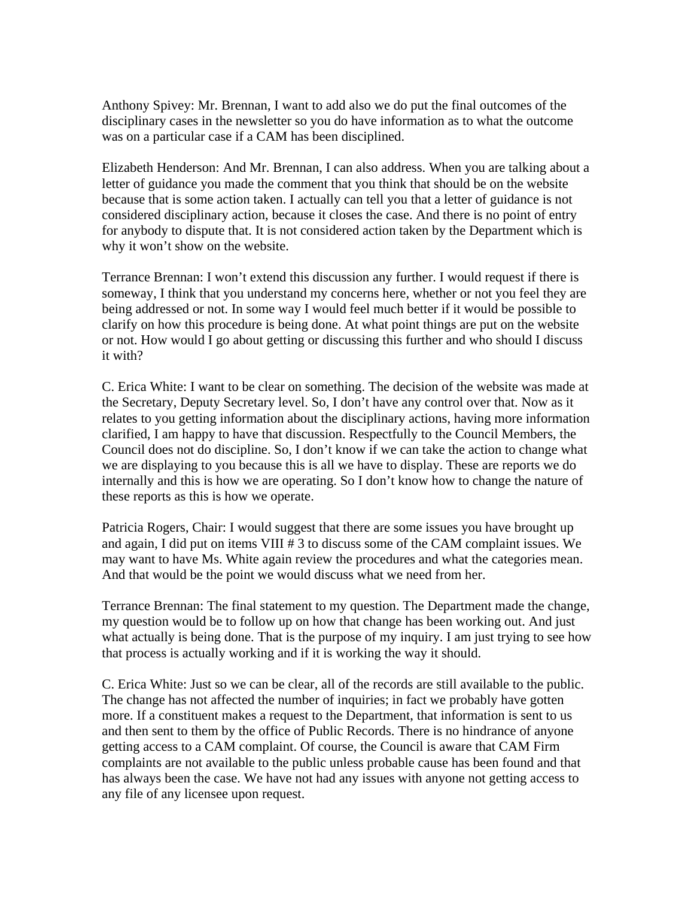Anthony Spivey: Mr. Brennan, I want to add also we do put the final outcomes of the disciplinary cases in the newsletter so you do have information as to what the outcome was on a particular case if a CAM has been disciplined.

Elizabeth Henderson: And Mr. Brennan, I can also address. When you are talking about a letter of guidance you made the comment that you think that should be on the website because that is some action taken. I actually can tell you that a letter of guidance is not considered disciplinary action, because it closes the case. And there is no point of entry for anybody to dispute that. It is not considered action taken by the Department which is why it won't show on the website.

Terrance Brennan: I won't extend this discussion any further. I would request if there is someway, I think that you understand my concerns here, whether or not you feel they are being addressed or not. In some way I would feel much better if it would be possible to clarify on how this procedure is being done. At what point things are put on the website or not. How would I go about getting or discussing this further and who should I discuss it with?

C. Erica White: I want to be clear on something. The decision of the website was made at the Secretary, Deputy Secretary level. So, I don't have any control over that. Now as it relates to you getting information about the disciplinary actions, having more information clarified, I am happy to have that discussion. Respectfully to the Council Members, the Council does not do discipline. So, I don't know if we can take the action to change what we are displaying to you because this is all we have to display. These are reports we do internally and this is how we are operating. So I don't know how to change the nature of these reports as this is how we operate.

Patricia Rogers, Chair: I would suggest that there are some issues you have brought up and again, I did put on items VIII # 3 to discuss some of the CAM complaint issues. We may want to have Ms. White again review the procedures and what the categories mean. And that would be the point we would discuss what we need from her.

Terrance Brennan: The final statement to my question. The Department made the change, my question would be to follow up on how that change has been working out. And just what actually is being done. That is the purpose of my inquiry. I am just trying to see how that process is actually working and if it is working the way it should.

C. Erica White: Just so we can be clear, all of the records are still available to the public. The change has not affected the number of inquiries; in fact we probably have gotten more. If a constituent makes a request to the Department, that information is sent to us and then sent to them by the office of Public Records. There is no hindrance of anyone getting access to a CAM complaint. Of course, the Council is aware that CAM Firm complaints are not available to the public unless probable cause has been found and that has always been the case. We have not had any issues with anyone not getting access to any file of any licensee upon request.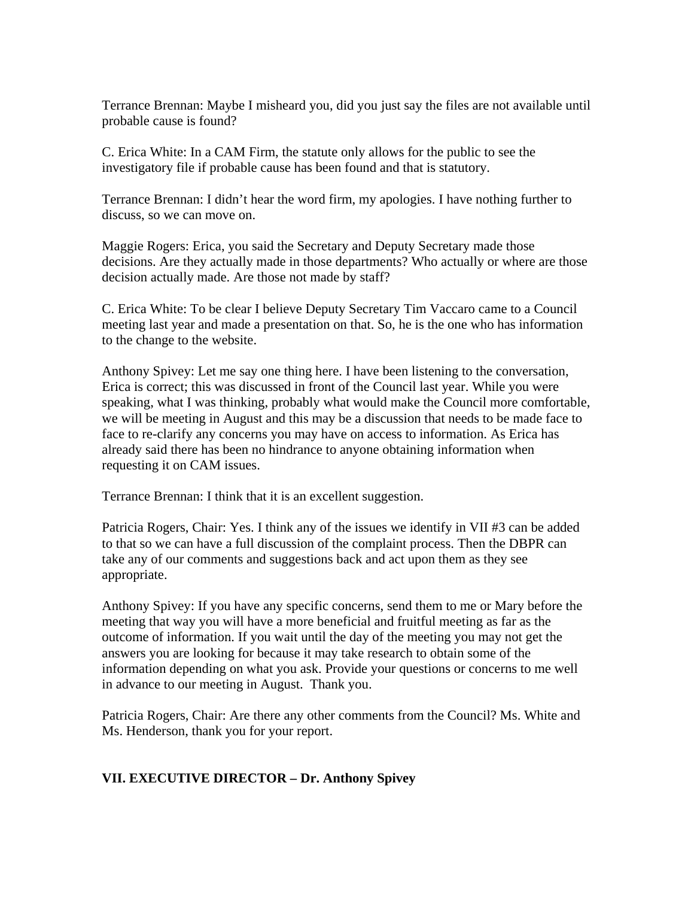Terrance Brennan: Maybe I misheard you, did you just say the files are not available until probable cause is found?

C. Erica White: In a CAM Firm, the statute only allows for the public to see the investigatory file if probable cause has been found and that is statutory.

Terrance Brennan: I didn't hear the word firm, my apologies. I have nothing further to discuss, so we can move on.

Maggie Rogers: Erica, you said the Secretary and Deputy Secretary made those decisions. Are they actually made in those departments? Who actually or where are those decision actually made. Are those not made by staff?

C. Erica White: To be clear I believe Deputy Secretary Tim Vaccaro came to a Council meeting last year and made a presentation on that. So, he is the one who has information to the change to the website.

Anthony Spivey: Let me say one thing here. I have been listening to the conversation, Erica is correct; this was discussed in front of the Council last year. While you were speaking, what I was thinking, probably what would make the Council more comfortable, we will be meeting in August and this may be a discussion that needs to be made face to face to re-clarify any concerns you may have on access to information. As Erica has already said there has been no hindrance to anyone obtaining information when requesting it on CAM issues.

Terrance Brennan: I think that it is an excellent suggestion.

Patricia Rogers, Chair: Yes. I think any of the issues we identify in VII #3 can be added to that so we can have a full discussion of the complaint process. Then the DBPR can take any of our comments and suggestions back and act upon them as they see appropriate.

Anthony Spivey: If you have any specific concerns, send them to me or Mary before the meeting that way you will have a more beneficial and fruitful meeting as far as the outcome of information. If you wait until the day of the meeting you may not get the answers you are looking for because it may take research to obtain some of the information depending on what you ask. Provide your questions or concerns to me well in advance to our meeting in August. Thank you.

Patricia Rogers, Chair: Are there any other comments from the Council? Ms. White and Ms. Henderson, thank you for your report.

# **VII. EXECUTIVE DIRECTOR – Dr. Anthony Spivey**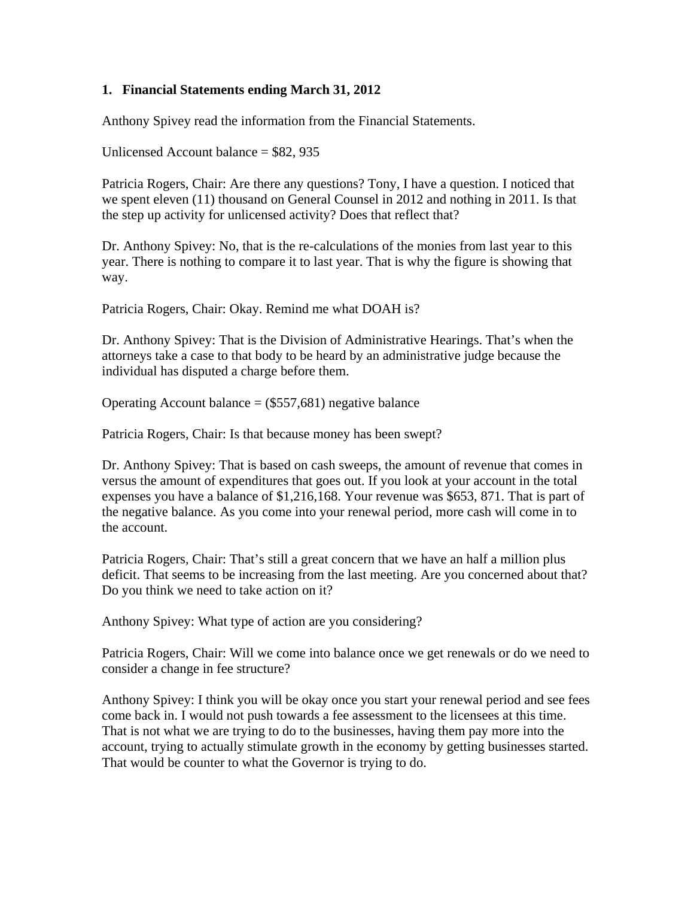# **1. Financial Statements ending March 31, 2012**

Anthony Spivey read the information from the Financial Statements.

Unlicensed Account balance  $= $82, 935$ 

Patricia Rogers, Chair: Are there any questions? Tony, I have a question. I noticed that we spent eleven (11) thousand on General Counsel in 2012 and nothing in 2011. Is that the step up activity for unlicensed activity? Does that reflect that?

Dr. Anthony Spivey: No, that is the re-calculations of the monies from last year to this year. There is nothing to compare it to last year. That is why the figure is showing that way.

Patricia Rogers, Chair: Okay. Remind me what DOAH is?

Dr. Anthony Spivey: That is the Division of Administrative Hearings. That's when the attorneys take a case to that body to be heard by an administrative judge because the individual has disputed a charge before them.

Operating Account balance  $=$  (\$557,681) negative balance

Patricia Rogers, Chair: Is that because money has been swept?

Dr. Anthony Spivey: That is based on cash sweeps, the amount of revenue that comes in versus the amount of expenditures that goes out. If you look at your account in the total expenses you have a balance of \$1,216,168. Your revenue was \$653, 871. That is part of the negative balance. As you come into your renewal period, more cash will come in to the account.

Patricia Rogers, Chair: That's still a great concern that we have an half a million plus deficit. That seems to be increasing from the last meeting. Are you concerned about that? Do you think we need to take action on it?

Anthony Spivey: What type of action are you considering?

Patricia Rogers, Chair: Will we come into balance once we get renewals or do we need to consider a change in fee structure?

Anthony Spivey: I think you will be okay once you start your renewal period and see fees come back in. I would not push towards a fee assessment to the licensees at this time. That is not what we are trying to do to the businesses, having them pay more into the account, trying to actually stimulate growth in the economy by getting businesses started. That would be counter to what the Governor is trying to do.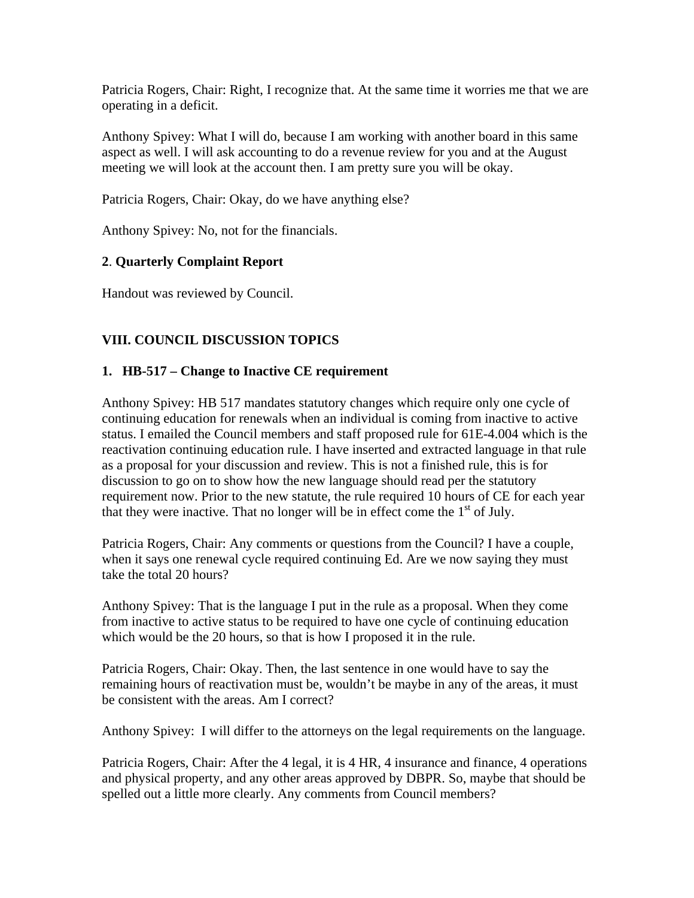Patricia Rogers, Chair: Right, I recognize that. At the same time it worries me that we are operating in a deficit.

Anthony Spivey: What I will do, because I am working with another board in this same aspect as well. I will ask accounting to do a revenue review for you and at the August meeting we will look at the account then. I am pretty sure you will be okay.

Patricia Rogers, Chair: Okay, do we have anything else?

Anthony Spivey: No, not for the financials.

# **2**. **Quarterly Complaint Report**

Handout was reviewed by Council.

# **VIII. COUNCIL DISCUSSION TOPICS**

#### **1. HB-517 – Change to Inactive CE requirement**

Anthony Spivey: HB 517 mandates statutory changes which require only one cycle of continuing education for renewals when an individual is coming from inactive to active status. I emailed the Council members and staff proposed rule for 61E-4.004 which is the reactivation continuing education rule. I have inserted and extracted language in that rule as a proposal for your discussion and review. This is not a finished rule, this is for discussion to go on to show how the new language should read per the statutory requirement now. Prior to the new statute, the rule required 10 hours of CE for each year that they were inactive. That no longer will be in effect come the  $1<sup>st</sup>$  of July.

Patricia Rogers, Chair: Any comments or questions from the Council? I have a couple, when it says one renewal cycle required continuing Ed. Are we now saying they must take the total 20 hours?

Anthony Spivey: That is the language I put in the rule as a proposal. When they come from inactive to active status to be required to have one cycle of continuing education which would be the 20 hours, so that is how I proposed it in the rule.

Patricia Rogers, Chair: Okay. Then, the last sentence in one would have to say the remaining hours of reactivation must be, wouldn't be maybe in any of the areas, it must be consistent with the areas. Am I correct?

Anthony Spivey: I will differ to the attorneys on the legal requirements on the language.

Patricia Rogers, Chair: After the 4 legal, it is 4 HR, 4 insurance and finance, 4 operations and physical property, and any other areas approved by DBPR. So, maybe that should be spelled out a little more clearly. Any comments from Council members?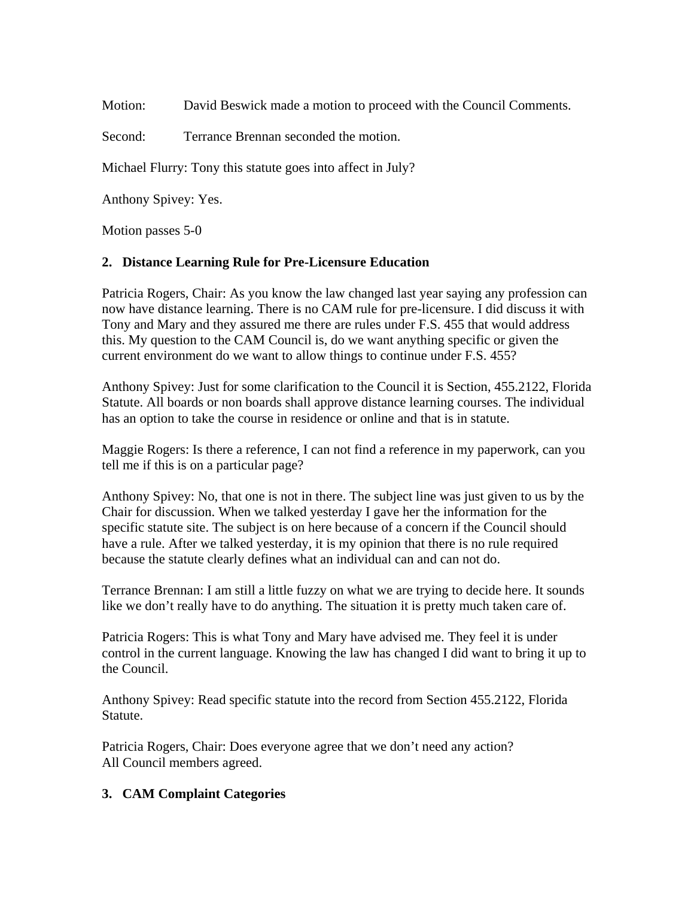Motion: David Beswick made a motion to proceed with the Council Comments.

Second: Terrance Brennan seconded the motion.

Michael Flurry: Tony this statute goes into affect in July?

Anthony Spivey: Yes.

Motion passes 5-0

### **2. Distance Learning Rule for Pre-Licensure Education**

Patricia Rogers, Chair: As you know the law changed last year saying any profession can now have distance learning. There is no CAM rule for pre-licensure. I did discuss it with Tony and Mary and they assured me there are rules under F.S. 455 that would address this. My question to the CAM Council is, do we want anything specific or given the current environment do we want to allow things to continue under F.S. 455?

Anthony Spivey: Just for some clarification to the Council it is Section, 455.2122, Florida Statute. All boards or non boards shall approve distance learning courses. The individual has an option to take the course in residence or online and that is in statute.

Maggie Rogers: Is there a reference, I can not find a reference in my paperwork, can you tell me if this is on a particular page?

Anthony Spivey: No, that one is not in there. The subject line was just given to us by the Chair for discussion. When we talked yesterday I gave her the information for the specific statute site. The subject is on here because of a concern if the Council should have a rule. After we talked yesterday, it is my opinion that there is no rule required because the statute clearly defines what an individual can and can not do.

Terrance Brennan: I am still a little fuzzy on what we are trying to decide here. It sounds like we don't really have to do anything. The situation it is pretty much taken care of.

Patricia Rogers: This is what Tony and Mary have advised me. They feel it is under control in the current language. Knowing the law has changed I did want to bring it up to the Council.

Anthony Spivey: Read specific statute into the record from Section 455.2122, Florida Statute.

Patricia Rogers, Chair: Does everyone agree that we don't need any action? All Council members agreed.

# **3. CAM Complaint Categories**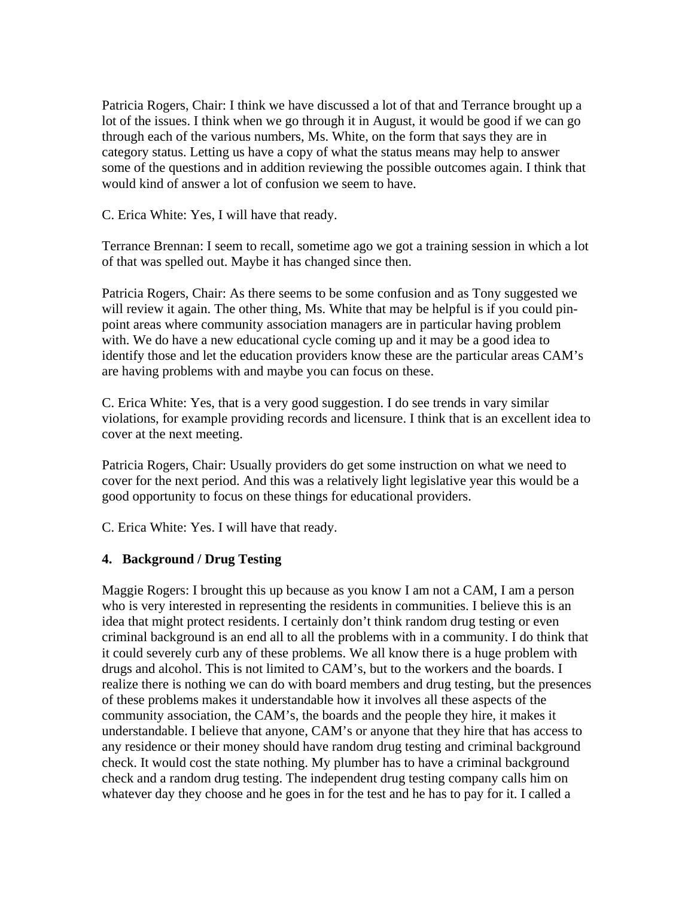Patricia Rogers, Chair: I think we have discussed a lot of that and Terrance brought up a lot of the issues. I think when we go through it in August, it would be good if we can go through each of the various numbers, Ms. White, on the form that says they are in category status. Letting us have a copy of what the status means may help to answer some of the questions and in addition reviewing the possible outcomes again. I think that would kind of answer a lot of confusion we seem to have.

C. Erica White: Yes, I will have that ready.

Terrance Brennan: I seem to recall, sometime ago we got a training session in which a lot of that was spelled out. Maybe it has changed since then.

Patricia Rogers, Chair: As there seems to be some confusion and as Tony suggested we will review it again. The other thing, Ms. White that may be helpful is if you could pinpoint areas where community association managers are in particular having problem with. We do have a new educational cycle coming up and it may be a good idea to identify those and let the education providers know these are the particular areas CAM's are having problems with and maybe you can focus on these.

C. Erica White: Yes, that is a very good suggestion. I do see trends in vary similar violations, for example providing records and licensure. I think that is an excellent idea to cover at the next meeting.

Patricia Rogers, Chair: Usually providers do get some instruction on what we need to cover for the next period. And this was a relatively light legislative year this would be a good opportunity to focus on these things for educational providers.

C. Erica White: Yes. I will have that ready.

#### **4. Background / Drug Testing**

Maggie Rogers: I brought this up because as you know I am not a CAM, I am a person who is very interested in representing the residents in communities. I believe this is an idea that might protect residents. I certainly don't think random drug testing or even criminal background is an end all to all the problems with in a community. I do think that it could severely curb any of these problems. We all know there is a huge problem with drugs and alcohol. This is not limited to CAM's, but to the workers and the boards. I realize there is nothing we can do with board members and drug testing, but the presences of these problems makes it understandable how it involves all these aspects of the community association, the CAM's, the boards and the people they hire, it makes it understandable. I believe that anyone, CAM's or anyone that they hire that has access to any residence or their money should have random drug testing and criminal background check. It would cost the state nothing. My plumber has to have a criminal background check and a random drug testing. The independent drug testing company calls him on whatever day they choose and he goes in for the test and he has to pay for it. I called a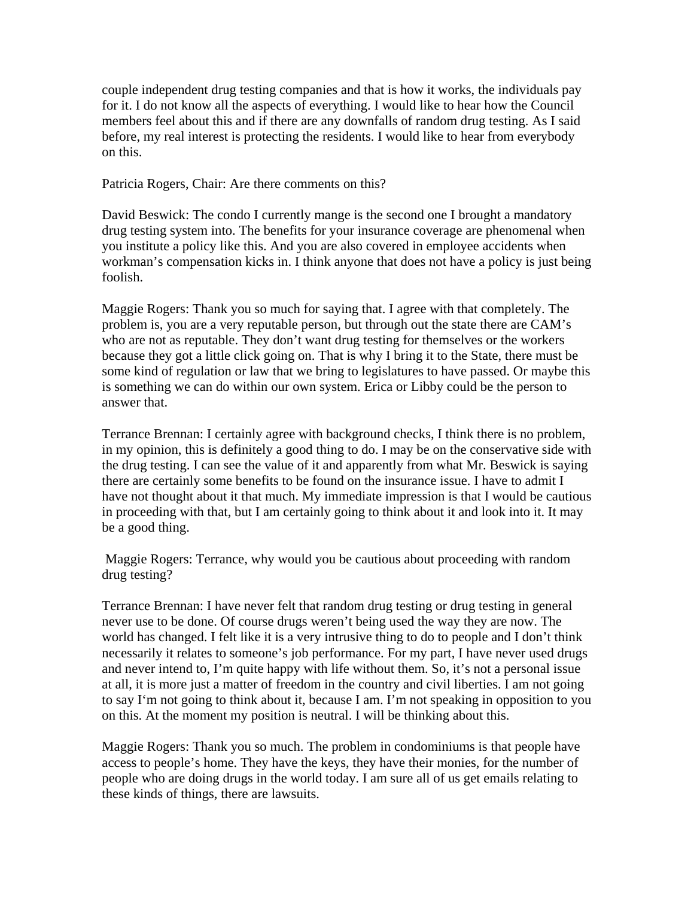couple independent drug testing companies and that is how it works, the individuals pay for it. I do not know all the aspects of everything. I would like to hear how the Council members feel about this and if there are any downfalls of random drug testing. As I said before, my real interest is protecting the residents. I would like to hear from everybody on this.

Patricia Rogers, Chair: Are there comments on this?

David Beswick: The condo I currently mange is the second one I brought a mandatory drug testing system into. The benefits for your insurance coverage are phenomenal when you institute a policy like this. And you are also covered in employee accidents when workman's compensation kicks in. I think anyone that does not have a policy is just being foolish.

Maggie Rogers: Thank you so much for saying that. I agree with that completely. The problem is, you are a very reputable person, but through out the state there are CAM's who are not as reputable. They don't want drug testing for themselves or the workers because they got a little click going on. That is why I bring it to the State, there must be some kind of regulation or law that we bring to legislatures to have passed. Or maybe this is something we can do within our own system. Erica or Libby could be the person to answer that.

Terrance Brennan: I certainly agree with background checks, I think there is no problem, in my opinion, this is definitely a good thing to do. I may be on the conservative side with the drug testing. I can see the value of it and apparently from what Mr. Beswick is saying there are certainly some benefits to be found on the insurance issue. I have to admit I have not thought about it that much. My immediate impression is that I would be cautious in proceeding with that, but I am certainly going to think about it and look into it. It may be a good thing.

 Maggie Rogers: Terrance, why would you be cautious about proceeding with random drug testing?

Terrance Brennan: I have never felt that random drug testing or drug testing in general never use to be done. Of course drugs weren't being used the way they are now. The world has changed. I felt like it is a very intrusive thing to do to people and I don't think necessarily it relates to someone's job performance. For my part, I have never used drugs and never intend to, I'm quite happy with life without them. So, it's not a personal issue at all, it is more just a matter of freedom in the country and civil liberties. I am not going to say I'm not going to think about it, because I am. I'm not speaking in opposition to you on this. At the moment my position is neutral. I will be thinking about this.

Maggie Rogers: Thank you so much. The problem in condominiums is that people have access to people's home. They have the keys, they have their monies, for the number of people who are doing drugs in the world today. I am sure all of us get emails relating to these kinds of things, there are lawsuits.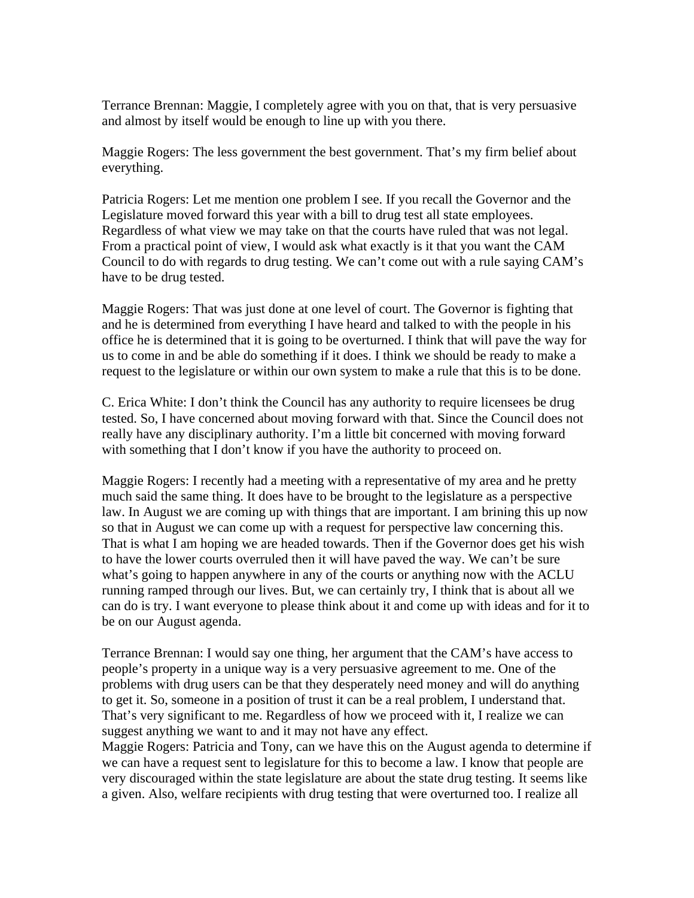Terrance Brennan: Maggie, I completely agree with you on that, that is very persuasive and almost by itself would be enough to line up with you there.

Maggie Rogers: The less government the best government. That's my firm belief about everything.

Patricia Rogers: Let me mention one problem I see. If you recall the Governor and the Legislature moved forward this year with a bill to drug test all state employees. Regardless of what view we may take on that the courts have ruled that was not legal. From a practical point of view, I would ask what exactly is it that you want the CAM Council to do with regards to drug testing. We can't come out with a rule saying CAM's have to be drug tested.

Maggie Rogers: That was just done at one level of court. The Governor is fighting that and he is determined from everything I have heard and talked to with the people in his office he is determined that it is going to be overturned. I think that will pave the way for us to come in and be able do something if it does. I think we should be ready to make a request to the legislature or within our own system to make a rule that this is to be done.

C. Erica White: I don't think the Council has any authority to require licensees be drug tested. So, I have concerned about moving forward with that. Since the Council does not really have any disciplinary authority. I'm a little bit concerned with moving forward with something that I don't know if you have the authority to proceed on.

Maggie Rogers: I recently had a meeting with a representative of my area and he pretty much said the same thing. It does have to be brought to the legislature as a perspective law. In August we are coming up with things that are important. I am brining this up now so that in August we can come up with a request for perspective law concerning this. That is what I am hoping we are headed towards. Then if the Governor does get his wish to have the lower courts overruled then it will have paved the way. We can't be sure what's going to happen anywhere in any of the courts or anything now with the ACLU running ramped through our lives. But, we can certainly try, I think that is about all we can do is try. I want everyone to please think about it and come up with ideas and for it to be on our August agenda.

Terrance Brennan: I would say one thing, her argument that the CAM's have access to people's property in a unique way is a very persuasive agreement to me. One of the problems with drug users can be that they desperately need money and will do anything to get it. So, someone in a position of trust it can be a real problem, I understand that. That's very significant to me. Regardless of how we proceed with it, I realize we can suggest anything we want to and it may not have any effect.

Maggie Rogers: Patricia and Tony, can we have this on the August agenda to determine if we can have a request sent to legislature for this to become a law. I know that people are very discouraged within the state legislature are about the state drug testing. It seems like a given. Also, welfare recipients with drug testing that were overturned too. I realize all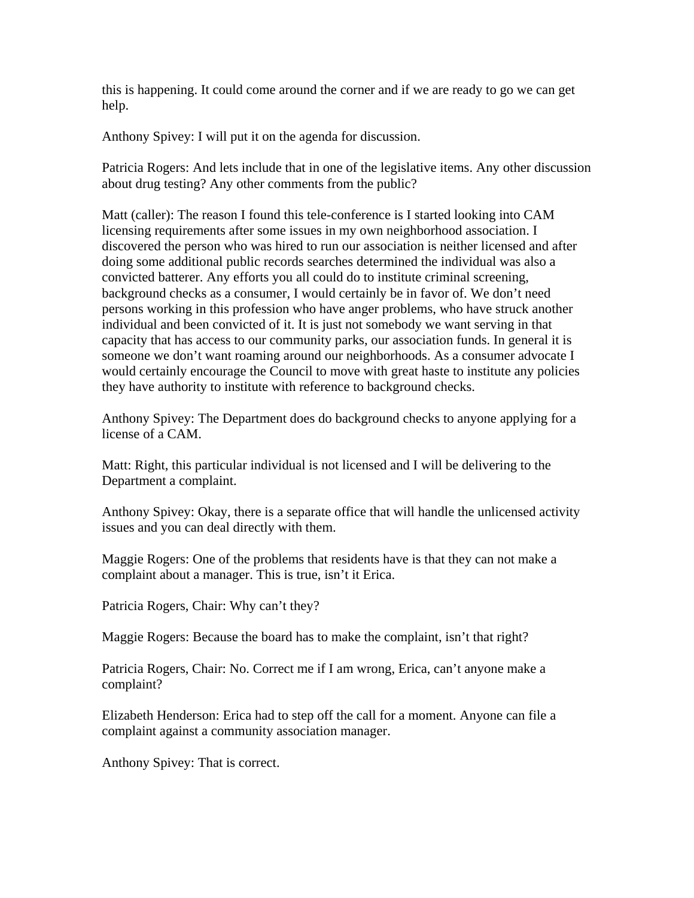this is happening. It could come around the corner and if we are ready to go we can get help.

Anthony Spivey: I will put it on the agenda for discussion.

Patricia Rogers: And lets include that in one of the legislative items. Any other discussion about drug testing? Any other comments from the public?

Matt (caller): The reason I found this tele-conference is I started looking into CAM licensing requirements after some issues in my own neighborhood association. I discovered the person who was hired to run our association is neither licensed and after doing some additional public records searches determined the individual was also a convicted batterer. Any efforts you all could do to institute criminal screening, background checks as a consumer, I would certainly be in favor of. We don't need persons working in this profession who have anger problems, who have struck another individual and been convicted of it. It is just not somebody we want serving in that capacity that has access to our community parks, our association funds. In general it is someone we don't want roaming around our neighborhoods. As a consumer advocate I would certainly encourage the Council to move with great haste to institute any policies they have authority to institute with reference to background checks.

Anthony Spivey: The Department does do background checks to anyone applying for a license of a CAM.

Matt: Right, this particular individual is not licensed and I will be delivering to the Department a complaint.

Anthony Spivey: Okay, there is a separate office that will handle the unlicensed activity issues and you can deal directly with them.

Maggie Rogers: One of the problems that residents have is that they can not make a complaint about a manager. This is true, isn't it Erica.

Patricia Rogers, Chair: Why can't they?

Maggie Rogers: Because the board has to make the complaint, isn't that right?

Patricia Rogers, Chair: No. Correct me if I am wrong, Erica, can't anyone make a complaint?

Elizabeth Henderson: Erica had to step off the call for a moment. Anyone can file a complaint against a community association manager.

Anthony Spivey: That is correct.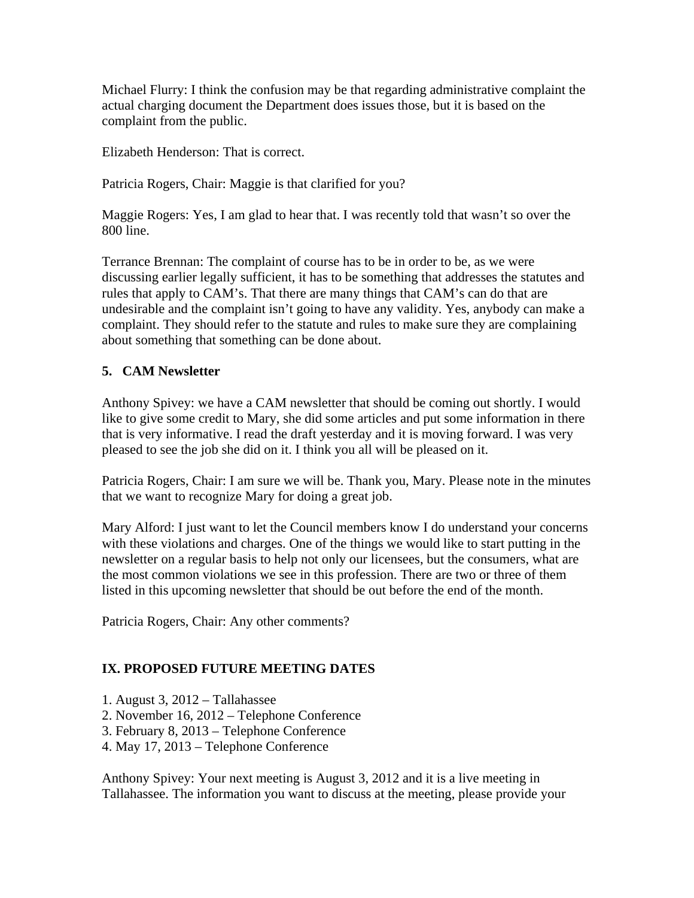Michael Flurry: I think the confusion may be that regarding administrative complaint the actual charging document the Department does issues those, but it is based on the complaint from the public.

Elizabeth Henderson: That is correct.

Patricia Rogers, Chair: Maggie is that clarified for you?

Maggie Rogers: Yes, I am glad to hear that. I was recently told that wasn't so over the 800 line.

Terrance Brennan: The complaint of course has to be in order to be, as we were discussing earlier legally sufficient, it has to be something that addresses the statutes and rules that apply to CAM's. That there are many things that CAM's can do that are undesirable and the complaint isn't going to have any validity. Yes, anybody can make a complaint. They should refer to the statute and rules to make sure they are complaining about something that something can be done about.

# **5. CAM Newsletter**

Anthony Spivey: we have a CAM newsletter that should be coming out shortly. I would like to give some credit to Mary, she did some articles and put some information in there that is very informative. I read the draft yesterday and it is moving forward. I was very pleased to see the job she did on it. I think you all will be pleased on it.

Patricia Rogers, Chair: I am sure we will be. Thank you, Mary. Please note in the minutes that we want to recognize Mary for doing a great job.

Mary Alford: I just want to let the Council members know I do understand your concerns with these violations and charges. One of the things we would like to start putting in the newsletter on a regular basis to help not only our licensees, but the consumers, what are the most common violations we see in this profession. There are two or three of them listed in this upcoming newsletter that should be out before the end of the month.

Patricia Rogers, Chair: Any other comments?

# **IX. PROPOSED FUTURE MEETING DATES**

- 1. August 3, 2012 Tallahassee
- 2. November 16, 2012 Telephone Conference
- 3. February 8, 2013 Telephone Conference
- 4. May 17, 2013 Telephone Conference

Anthony Spivey: Your next meeting is August 3, 2012 and it is a live meeting in Tallahassee. The information you want to discuss at the meeting, please provide your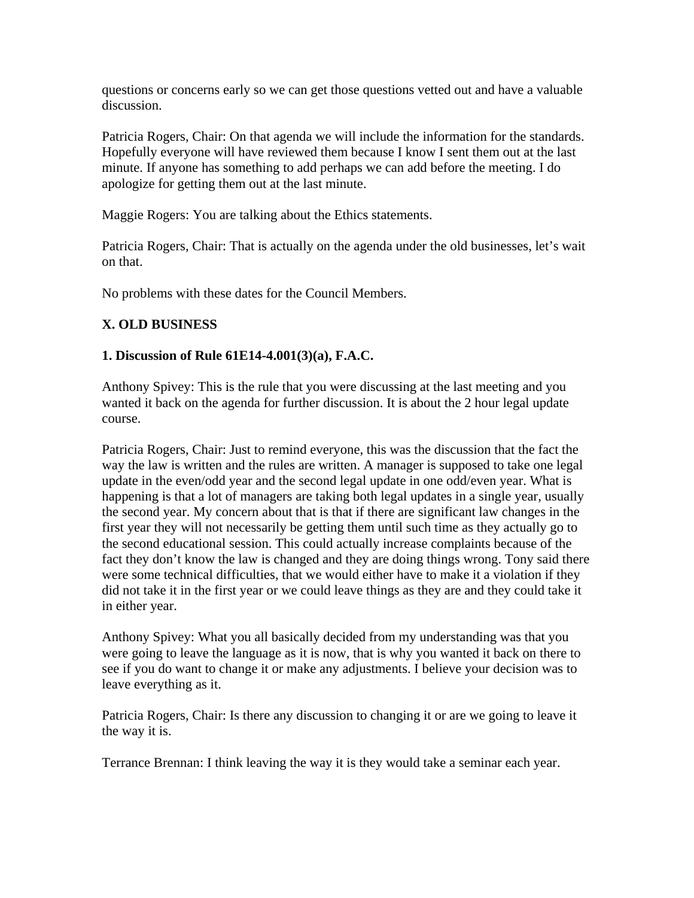questions or concerns early so we can get those questions vetted out and have a valuable discussion.

Patricia Rogers, Chair: On that agenda we will include the information for the standards. Hopefully everyone will have reviewed them because I know I sent them out at the last minute. If anyone has something to add perhaps we can add before the meeting. I do apologize for getting them out at the last minute.

Maggie Rogers: You are talking about the Ethics statements.

Patricia Rogers, Chair: That is actually on the agenda under the old businesses, let's wait on that.

No problems with these dates for the Council Members.

# **X. OLD BUSINESS**

# **1. Discussion of Rule 61E14-4.001(3)(a), F.A.C.**

Anthony Spivey: This is the rule that you were discussing at the last meeting and you wanted it back on the agenda for further discussion. It is about the 2 hour legal update course.

Patricia Rogers, Chair: Just to remind everyone, this was the discussion that the fact the way the law is written and the rules are written. A manager is supposed to take one legal update in the even/odd year and the second legal update in one odd/even year. What is happening is that a lot of managers are taking both legal updates in a single year, usually the second year. My concern about that is that if there are significant law changes in the first year they will not necessarily be getting them until such time as they actually go to the second educational session. This could actually increase complaints because of the fact they don't know the law is changed and they are doing things wrong. Tony said there were some technical difficulties, that we would either have to make it a violation if they did not take it in the first year or we could leave things as they are and they could take it in either year.

Anthony Spivey: What you all basically decided from my understanding was that you were going to leave the language as it is now, that is why you wanted it back on there to see if you do want to change it or make any adjustments. I believe your decision was to leave everything as it.

Patricia Rogers, Chair: Is there any discussion to changing it or are we going to leave it the way it is.

Terrance Brennan: I think leaving the way it is they would take a seminar each year.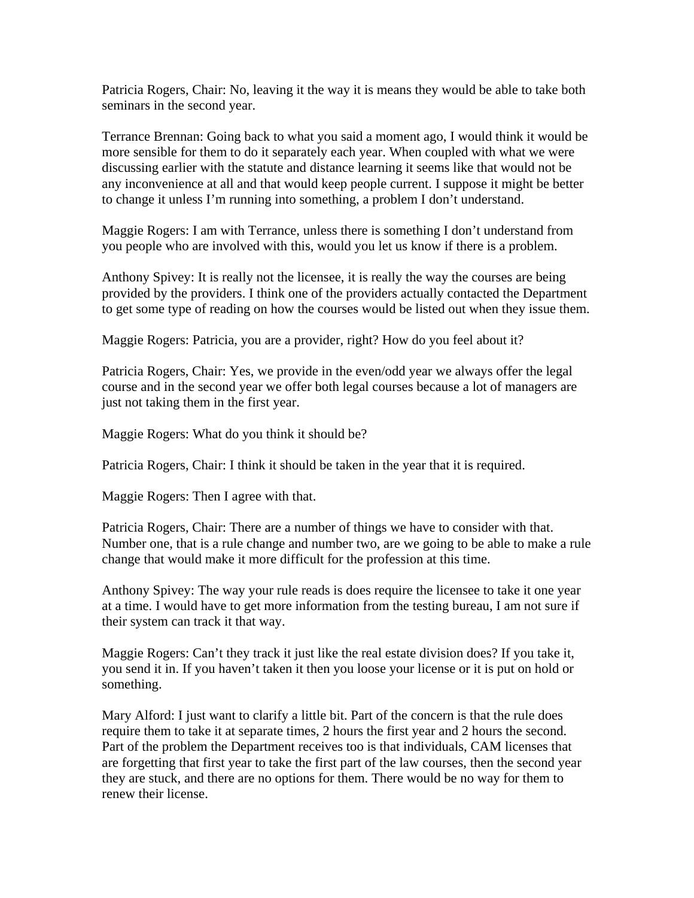Patricia Rogers, Chair: No, leaving it the way it is means they would be able to take both seminars in the second year.

Terrance Brennan: Going back to what you said a moment ago, I would think it would be more sensible for them to do it separately each year. When coupled with what we were discussing earlier with the statute and distance learning it seems like that would not be any inconvenience at all and that would keep people current. I suppose it might be better to change it unless I'm running into something, a problem I don't understand.

Maggie Rogers: I am with Terrance, unless there is something I don't understand from you people who are involved with this, would you let us know if there is a problem.

Anthony Spivey: It is really not the licensee, it is really the way the courses are being provided by the providers. I think one of the providers actually contacted the Department to get some type of reading on how the courses would be listed out when they issue them.

Maggie Rogers: Patricia, you are a provider, right? How do you feel about it?

Patricia Rogers, Chair: Yes, we provide in the even/odd year we always offer the legal course and in the second year we offer both legal courses because a lot of managers are just not taking them in the first year.

Maggie Rogers: What do you think it should be?

Patricia Rogers, Chair: I think it should be taken in the year that it is required.

Maggie Rogers: Then I agree with that.

Patricia Rogers, Chair: There are a number of things we have to consider with that. Number one, that is a rule change and number two, are we going to be able to make a rule change that would make it more difficult for the profession at this time.

Anthony Spivey: The way your rule reads is does require the licensee to take it one year at a time. I would have to get more information from the testing bureau, I am not sure if their system can track it that way.

Maggie Rogers: Can't they track it just like the real estate division does? If you take it, you send it in. If you haven't taken it then you loose your license or it is put on hold or something.

Mary Alford: I just want to clarify a little bit. Part of the concern is that the rule does require them to take it at separate times, 2 hours the first year and 2 hours the second. Part of the problem the Department receives too is that individuals, CAM licenses that are forgetting that first year to take the first part of the law courses, then the second year they are stuck, and there are no options for them. There would be no way for them to renew their license.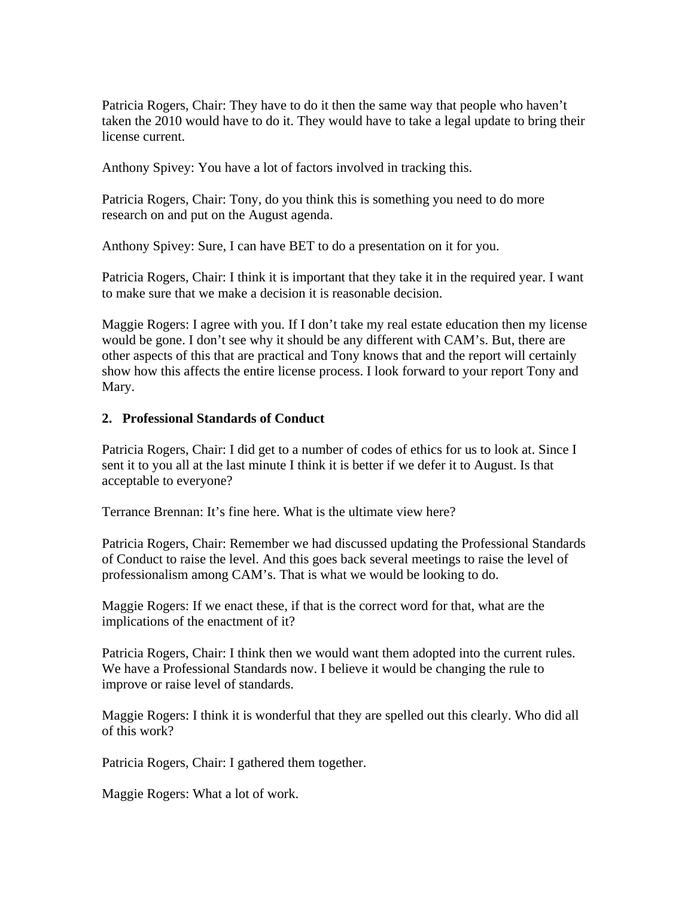Patricia Rogers, Chair: They have to do it then the same way that people who haven't taken the 2010 would have to do it. They would have to take a legal update to bring their license current.

Anthony Spivey: You have a lot of factors involved in tracking this.

Patricia Rogers, Chair: Tony, do you think this is something you need to do more research on and put on the August agenda.

Anthony Spivey: Sure, I can have BET to do a presentation on it for you.

Patricia Rogers, Chair: I think it is important that they take it in the required year. I want to make sure that we make a decision it is reasonable decision.

Maggie Rogers: I agree with you. If I don't take my real estate education then my license would be gone. I don't see why it should be any different with CAM's. But, there are other aspects of this that are practical and Tony knows that and the report will certainly show how this affects the entire license process. I look forward to your report Tony and Mary.

#### **2. Professional Standards of Conduct**

Patricia Rogers, Chair: I did get to a number of codes of ethics for us to look at. Since I sent it to you all at the last minute I think it is better if we defer it to August. Is that acceptable to everyone?

Terrance Brennan: It's fine here. What is the ultimate view here?

Patricia Rogers, Chair: Remember we had discussed updating the Professional Standards of Conduct to raise the level. And this goes back several meetings to raise the level of professionalism among CAM's. That is what we would be looking to do.

Maggie Rogers: If we enact these, if that is the correct word for that, what are the implications of the enactment of it?

Patricia Rogers, Chair: I think then we would want them adopted into the current rules. We have a Professional Standards now. I believe it would be changing the rule to improve or raise level of standards.

Maggie Rogers: I think it is wonderful that they are spelled out this clearly. Who did all of this work?

Patricia Rogers, Chair: I gathered them together.

Maggie Rogers: What a lot of work.